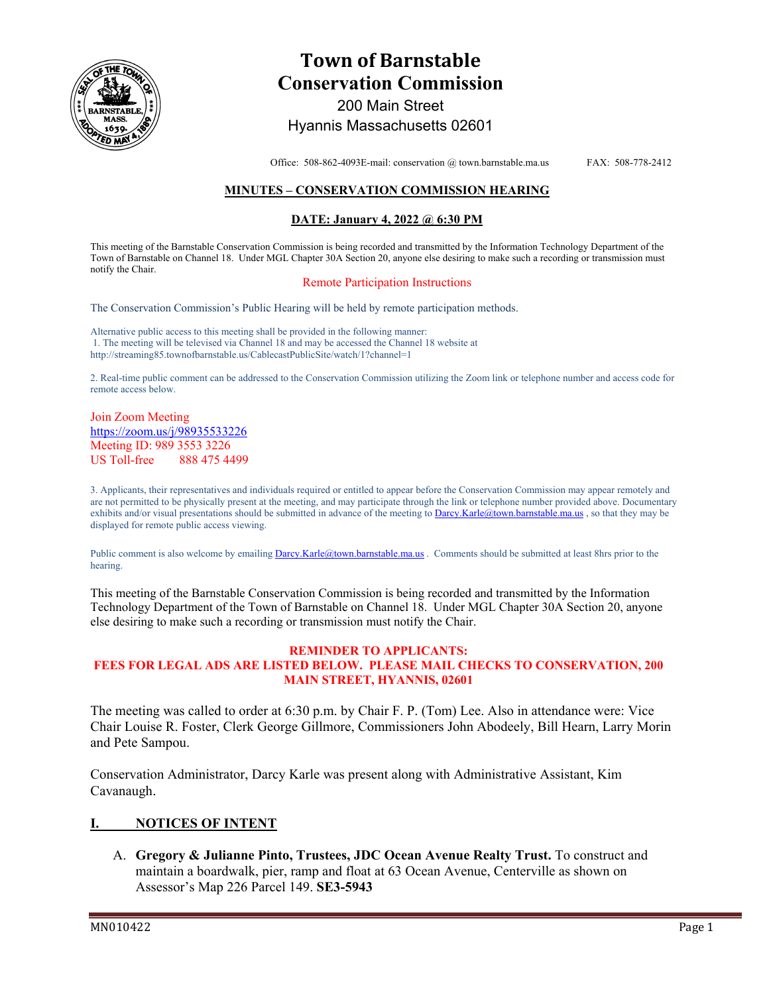

# **Town of Barnstable Conservation Commission**  200 Main Street

Hyannis Massachusetts 02601

Office: 508-862-4093E-mail: conservation @ town.barnstable.ma.us FAX: 508-778-2412

# **MINUTES – CONSERVATION COMMISSION HEARING**

## **DATE: January 4, 2022 @ 6:30 PM**

This meeting of the Barnstable Conservation Commission is being recorded and transmitted by the Information Technology Department of the Town of Barnstable on Channel 18. Under MGL Chapter 30A Section 20, anyone else desiring to make such a recording or transmission must notify the Chair.

#### Remote Participation Instructions

The Conservation Commission's Public Hearing will be held by remote participation methods.

Alternative public access to this meeting shall be provided in the following manner: 1. The meeting will be televised via Channel 18 and may be accessed the Channel 18 website at http://streaming85.townofbarnstable.us/CablecastPublicSite/watch/1?channel=1

2. Real-time public comment can be addressed to the Conservation Commission utilizing the Zoom link or telephone number and access code for remote access below.

Join Zoom Meeting https://zoom.us/j/98935533226 Meeting ID: 989 3553 3226 US Toll-free 888 475 4499

3. Applicants, their representatives and individuals required or entitled to appear before the Conservation Commission may appear remotely and are not permitted to be physically present at the meeting, and may participate through the link or telephone number provided above. Documentary exhibits and/or visual presentations should be submitted in advance of the meeting to Darcy.Karle@town.barnstable.ma.us, so that they may be displayed for remote public access viewing.

Public comment is also welcome by emailing Darcy.Karle@town.barnstable.ma.us . Comments should be submitted at least 8hrs prior to the hearing.

This meeting of the Barnstable Conservation Commission is being recorded and transmitted by the Information Technology Department of the Town of Barnstable on Channel 18. Under MGL Chapter 30A Section 20, anyone else desiring to make such a recording or transmission must notify the Chair.

#### **REMINDER TO APPLICANTS: FEES FOR LEGAL ADS ARE LISTED BELOW. PLEASE MAIL CHECKS TO CONSERVATION, 200 MAIN STREET, HYANNIS, 02601**

The meeting was called to order at 6:30 p.m. by Chair F. P. (Tom) Lee. Also in attendance were: Vice Chair Louise R. Foster, Clerk George Gillmore, Commissioners John Abodeely, Bill Hearn, Larry Morin and Pete Sampou.

Conservation Administrator, Darcy Karle was present along with Administrative Assistant, Kim Cavanaugh.

## **I. NOTICES OF INTENT**

A. **Gregory & Julianne Pinto, Trustees, JDC Ocean Avenue Realty Trust.** To construct and maintain a boardwalk, pier, ramp and float at 63 Ocean Avenue, Centerville as shown on Assessor's Map 226 Parcel 149. **SE3-5943**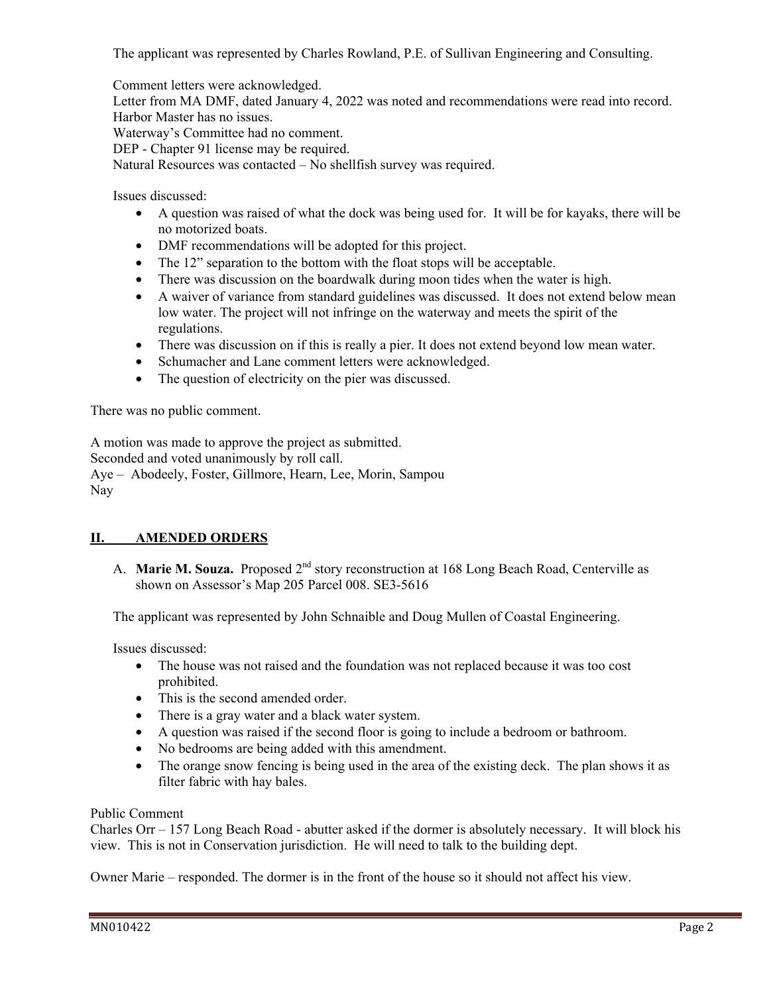The applicant was represented by Charles Rowland, P.E. of Sullivan Engineering and Consulting.

Comment letters were acknowledged.

Letter from MA DMF, dated January 4, 2022 was noted and recommendations were read into record. Harbor Master has no issues.

Waterway's Committee had no comment.

DEP - Chapter 91 license may be required.

Natural Resources was contacted – No shellfish survey was required.

Issues discussed:

- A question was raised of what the dock was being used for. It will be for kayaks, there will be no motorized boats.
- DMF recommendations will be adopted for this project.
- The 12" separation to the bottom with the float stops will be acceptable.
- There was discussion on the boardwalk during moon tides when the water is high.
- A waiver of variance from standard guidelines was discussed. It does not extend below mean low water. The project will not infringe on the waterway and meets the spirit of the regulations.
- There was discussion on if this is really a pier. It does not extend beyond low mean water.
- Schumacher and Lane comment letters were acknowledged.
- The question of electricity on the pier was discussed.

There was no public comment.

A motion was made to approve the project as submitted. Seconded and voted unanimously by roll call. Aye – Abodeely, Foster, Gillmore, Hearn, Lee, Morin, Sampou Nay

# **II. AMENDED ORDERS**

A. **Marie M. Souza.** Proposed 2<sup>nd</sup> story reconstruction at 168 Long Beach Road, Centerville as shown on Assessor's Map 205 Parcel 008. SE3-5616

The applicant was represented by John Schnaible and Doug Mullen of Coastal Engineering.

Issues discussed:

- The house was not raised and the foundation was not replaced because it was too cost prohibited.
- This is the second amended order.
- There is a gray water and a black water system.
- A question was raised if the second floor is going to include a bedroom or bathroom.
- No bedrooms are being added with this amendment.
- The orange snow fencing is being used in the area of the existing deck. The plan shows it as filter fabric with hay bales.

Public Comment

Charles Orr – 157 Long Beach Road - abutter asked if the dormer is absolutely necessary. It will block his view. This is not in Conservation jurisdiction. He will need to talk to the building dept.

Owner Marie – responded. The dormer is in the front of the house so it should not affect his view.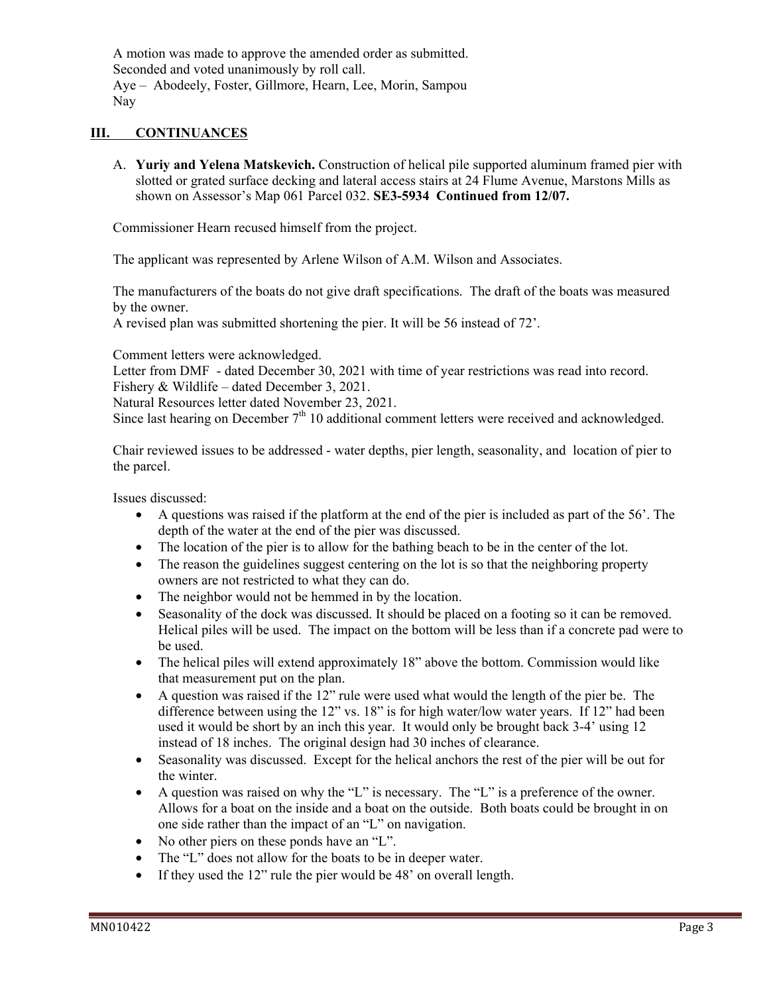A motion was made to approve the amended order as submitted. Seconded and voted unanimously by roll call. Aye – Abodeely, Foster, Gillmore, Hearn, Lee, Morin, Sampou Nay

# **III. CONTINUANCES**

A. **Yuriy and Yelena Matskevich.** Construction of helical pile supported aluminum framed pier with slotted or grated surface decking and lateral access stairs at 24 Flume Avenue, Marstons Mills as shown on Assessor's Map 061 Parcel 032. **SE3-5934 Continued from 12/07.**

Commissioner Hearn recused himself from the project.

The applicant was represented by Arlene Wilson of A.M. Wilson and Associates.

The manufacturers of the boats do not give draft specifications. The draft of the boats was measured by the owner.

A revised plan was submitted shortening the pier. It will be 56 instead of 72'.

Comment letters were acknowledged.

Letter from DMF - dated December 30, 2021 with time of year restrictions was read into record. Fishery & Wildlife – dated December 3, 2021.

Natural Resources letter dated November 23, 2021.

Since last hearing on December 7<sup>th</sup> 10 additional comment letters were received and acknowledged.

Chair reviewed issues to be addressed - water depths, pier length, seasonality, and location of pier to the parcel.

Issues discussed:

- A questions was raised if the platform at the end of the pier is included as part of the 56'. The depth of the water at the end of the pier was discussed.
- The location of the pier is to allow for the bathing beach to be in the center of the lot.
- The reason the guidelines suggest centering on the lot is so that the neighboring property owners are not restricted to what they can do.
- The neighbor would not be hemmed in by the location.
- Seasonality of the dock was discussed. It should be placed on a footing so it can be removed. Helical piles will be used. The impact on the bottom will be less than if a concrete pad were to be used.
- The helical piles will extend approximately 18" above the bottom. Commission would like that measurement put on the plan.
- A question was raised if the 12" rule were used what would the length of the pier be. The difference between using the 12" vs. 18" is for high water/low water years. If 12" had been used it would be short by an inch this year. It would only be brought back 3-4' using 12 instead of 18 inches. The original design had 30 inches of clearance.
- Seasonality was discussed. Except for the helical anchors the rest of the pier will be out for the winter.
- A question was raised on why the "L" is necessary. The "L" is a preference of the owner. Allows for a boat on the inside and a boat on the outside. Both boats could be brought in on one side rather than the impact of an "L" on navigation.
- No other piers on these ponds have an "L".
- The "L" does not allow for the boats to be in deeper water.
- If they used the 12" rule the pier would be 48' on overall length.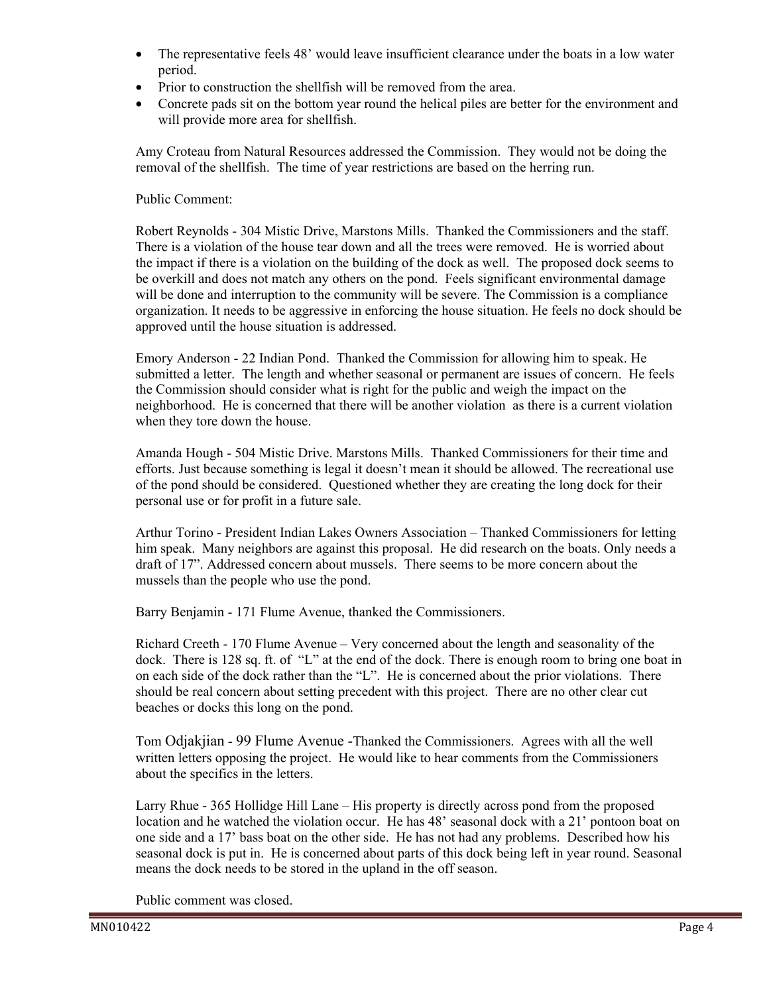- The representative feels 48' would leave insufficient clearance under the boats in a low water period.
- Prior to construction the shellfish will be removed from the area.
- Concrete pads sit on the bottom year round the helical piles are better for the environment and will provide more area for shellfish.

Amy Croteau from Natural Resources addressed the Commission. They would not be doing the removal of the shellfish. The time of year restrictions are based on the herring run.

# Public Comment:

Robert Reynolds - 304 Mistic Drive, Marstons Mills. Thanked the Commissioners and the staff. There is a violation of the house tear down and all the trees were removed. He is worried about the impact if there is a violation on the building of the dock as well. The proposed dock seems to be overkill and does not match any others on the pond. Feels significant environmental damage will be done and interruption to the community will be severe. The Commission is a compliance organization. It needs to be aggressive in enforcing the house situation. He feels no dock should be approved until the house situation is addressed.

Emory Anderson - 22 Indian Pond. Thanked the Commission for allowing him to speak. He submitted a letter. The length and whether seasonal or permanent are issues of concern. He feels the Commission should consider what is right for the public and weigh the impact on the neighborhood. He is concerned that there will be another violation as there is a current violation when they tore down the house.

Amanda Hough - 504 Mistic Drive. Marstons Mills. Thanked Commissioners for their time and efforts. Just because something is legal it doesn't mean it should be allowed. The recreational use of the pond should be considered. Questioned whether they are creating the long dock for their personal use or for profit in a future sale.

Arthur Torino - President Indian Lakes Owners Association – Thanked Commissioners for letting him speak. Many neighbors are against this proposal. He did research on the boats. Only needs a draft of 17". Addressed concern about mussels. There seems to be more concern about the mussels than the people who use the pond.

Barry Benjamin - 171 Flume Avenue, thanked the Commissioners.

Richard Creeth - 170 Flume Avenue – Very concerned about the length and seasonality of the dock. There is 128 sq. ft. of "L" at the end of the dock. There is enough room to bring one boat in on each side of the dock rather than the "L". He is concerned about the prior violations. There should be real concern about setting precedent with this project. There are no other clear cut beaches or docks this long on the pond.

Tom Odjakjian - 99 Flume Avenue -Thanked the Commissioners. Agrees with all the well written letters opposing the project. He would like to hear comments from the Commissioners about the specifics in the letters.

Larry Rhue - 365 Hollidge Hill Lane – His property is directly across pond from the proposed location and he watched the violation occur. He has 48' seasonal dock with a 21' pontoon boat on one side and a 17' bass boat on the other side. He has not had any problems. Described how his seasonal dock is put in. He is concerned about parts of this dock being left in year round. Seasonal means the dock needs to be stored in the upland in the off season.

Public comment was closed.